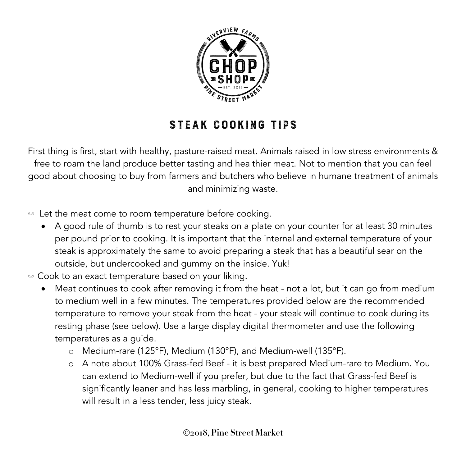

## Steak cooking tips

First thing is first, start with healthy, pasture-raised meat. Animals raised in low stress environments & free to roam the land produce better tasting and healthier meat. Not to mention that you can feel good about choosing to buy from farmers and butchers who believe in humane treatment of animals and minimizing waste.

 $\omega$  Let the meat come to room temperature before cooking.

• A good rule of thumb is to rest your steaks on a plate on your counter for at least 30 minutes per pound prior to cooking. It is important that the internal and external temperature of your steak is approximately the same to avoid preparing a steak that has a beautiful sear on the outside, but undercooked and gummy on the inside. Yuk!

 $\omega$  Cook to an exact temperature based on your liking.

- Meat continues to cook after removing it from the heat not a lot, but it can go from medium to medium well in a few minutes. The temperatures provided below are the recommended temperature to remove your steak from the heat - your steak will continue to cook during its resting phase (see below). Use a large display digital thermometer and use the following temperatures as a guide.
	- o Medium-rare (125°F), Medium (130°F), and Medium-well (135°F).
	- o A note about 100% Grass-fed Beef it is best prepared Medium-rare to Medium. You can extend to Medium-well if you prefer, but due to the fact that Grass-fed Beef is significantly leaner and has less marbling, in general, cooking to higher temperatures will result in a less tender, less juicy steak.